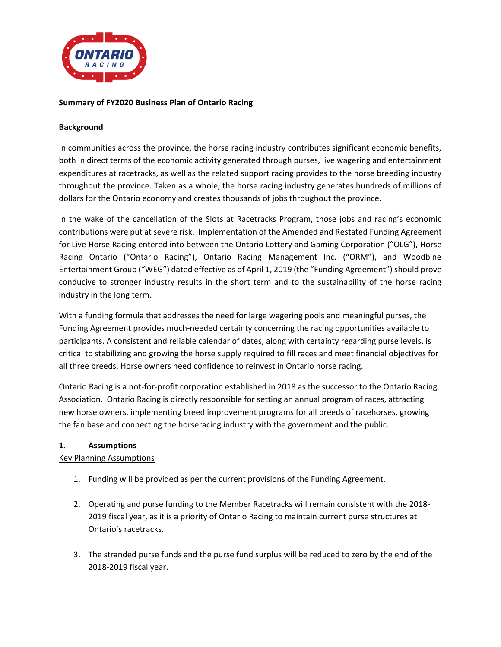

## **Summary of FY2020 Business Plan of Ontario Racing**

### **Background**

In communities across the province, the horse racing industry contributes significant economic benefits, both in direct terms of the economic activity generated through purses, live wagering and entertainment expenditures at racetracks, as well as the related support racing provides to the horse breeding industry throughout the province. Taken as a whole, the horse racing industry generates hundreds of millions of dollars for the Ontario economy and creates thousands of jobs throughout the province.

In the wake of the cancellation of the Slots at Racetracks Program, those jobs and racing's economic contributions were put at severe risk. Implementation of the Amended and Restated Funding Agreement for Live Horse Racing entered into between the Ontario Lottery and Gaming Corporation ("OLG"), Horse Racing Ontario ("Ontario Racing"), Ontario Racing Management Inc. ("ORM"), and Woodbine Entertainment Group ("WEG") dated effective as of April 1, 2019 (the "Funding Agreement") should prove conducive to stronger industry results in the short term and to the sustainability of the horse racing industry in the long term.

With a funding formula that addresses the need for large wagering pools and meaningful purses, the Funding Agreement provides much-needed certainty concerning the racing opportunities available to participants. A consistent and reliable calendar of dates, along with certainty regarding purse levels, is critical to stabilizing and growing the horse supply required to fill races and meet financial objectives for all three breeds. Horse owners need confidence to reinvest in Ontario horse racing.

Ontario Racing is a not-for-profit corporation established in 2018 as the successor to the Ontario Racing Association. Ontario Racing is directly responsible for setting an annual program of races, attracting new horse owners, implementing breed improvement programs for all breeds of racehorses, growing the fan base and connecting the horseracing industry with the government and the public.

### **1. Assumptions**

### Key Planning Assumptions

- 1. Funding will be provided as per the current provisions of the Funding Agreement.
- 2. Operating and purse funding to the Member Racetracks will remain consistent with the 2018- 2019 fiscal year, as it is a priority of Ontario Racing to maintain current purse structures at Ontario's racetracks.
- 3. The stranded purse funds and the purse fund surplus will be reduced to zero by the end of the 2018-2019 fiscal year.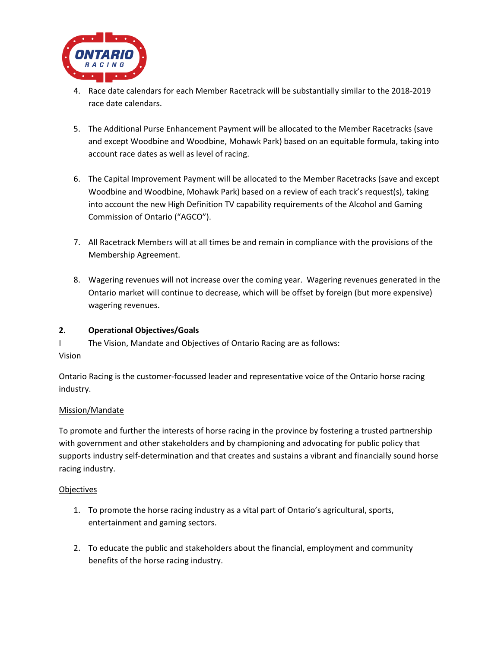

- 4. Race date calendars for each Member Racetrack will be substantially similar to the 2018-2019 race date calendars.
- 5. The Additional Purse Enhancement Payment will be allocated to the Member Racetracks (save and except Woodbine and Woodbine, Mohawk Park) based on an equitable formula, taking into account race dates as well as level of racing.
- 6. The Capital Improvement Payment will be allocated to the Member Racetracks (save and except Woodbine and Woodbine, Mohawk Park) based on a review of each track's request(s), taking into account the new High Definition TV capability requirements of the Alcohol and Gaming Commission of Ontario ("AGCO").
- 7. All Racetrack Members will at all times be and remain in compliance with the provisions of the Membership Agreement.
- 8. Wagering revenues will not increase over the coming year. Wagering revenues generated in the Ontario market will continue to decrease, which will be offset by foreign (but more expensive) wagering revenues.

## **2. Operational Objectives/Goals**

I The Vision, Mandate and Objectives of Ontario Racing are as follows: Vision

Ontario Racing is the customer-focussed leader and representative voice of the Ontario horse racing industry.

## Mission/Mandate

To promote and further the interests of horse racing in the province by fostering a trusted partnership with government and other stakeholders and by championing and advocating for public policy that supports industry self-determination and that creates and sustains a vibrant and financially sound horse racing industry.

### Objectives

- 1. To promote the horse racing industry as a vital part of Ontario's agricultural, sports, entertainment and gaming sectors.
- 2. To educate the public and stakeholders about the financial, employment and community benefits of the horse racing industry.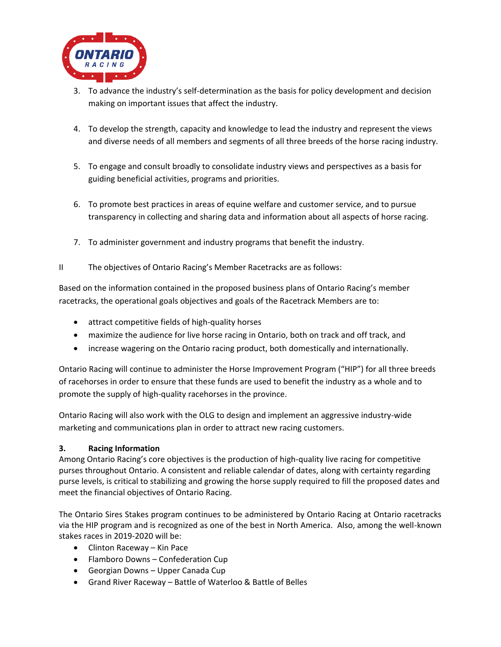

- 3. To advance the industry's self-determination as the basis for policy development and decision making on important issues that affect the industry.
- 4. To develop the strength, capacity and knowledge to lead the industry and represent the views and diverse needs of all members and segments of all three breeds of the horse racing industry.
- 5. To engage and consult broadly to consolidate industry views and perspectives as a basis for guiding beneficial activities, programs and priorities.
- 6. To promote best practices in areas of equine welfare and customer service, and to pursue transparency in collecting and sharing data and information about all aspects of horse racing.
- 7. To administer government and industry programs that benefit the industry.
- II The objectives of Ontario Racing's Member Racetracks are as follows:

Based on the information contained in the proposed business plans of Ontario Racing's member racetracks, the operational goals objectives and goals of the Racetrack Members are to:

- attract competitive fields of high-quality horses
- maximize the audience for live horse racing in Ontario, both on track and off track, and
- increase wagering on the Ontario racing product, both domestically and internationally.

Ontario Racing will continue to administer the Horse Improvement Program ("HIP") for all three breeds of racehorses in order to ensure that these funds are used to benefit the industry as a whole and to promote the supply of high-quality racehorses in the province.

Ontario Racing will also work with the OLG to design and implement an aggressive industry-wide marketing and communications plan in order to attract new racing customers.

## **3. Racing Information**

Among Ontario Racing's core objectives is the production of high-quality live racing for competitive purses throughout Ontario. A consistent and reliable calendar of dates, along with certainty regarding purse levels, is critical to stabilizing and growing the horse supply required to fill the proposed dates and meet the financial objectives of Ontario Racing.

The Ontario Sires Stakes program continues to be administered by Ontario Racing at Ontario racetracks via the HIP program and is recognized as one of the best in North America. Also, among the well-known stakes races in 2019-2020 will be:

- Clinton Raceway Kin Pace
- Flamboro Downs Confederation Cup
- Georgian Downs Upper Canada Cup
- Grand River Raceway Battle of Waterloo & Battle of Belles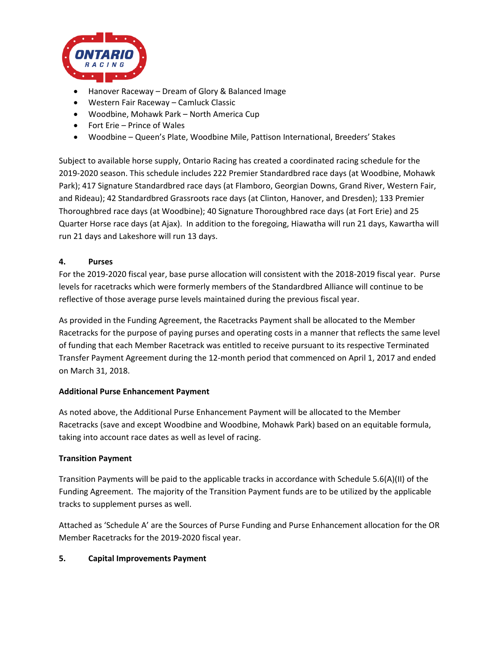

- Hanover Raceway Dream of Glory & Balanced Image
- Western Fair Raceway Camluck Classic
- Woodbine, Mohawk Park North America Cup
- Fort Erie Prince of Wales
- Woodbine Queen's Plate, Woodbine Mile, Pattison International, Breeders' Stakes

Subject to available horse supply, Ontario Racing has created a coordinated racing schedule for the 2019-2020 season. This schedule includes 222 Premier Standardbred race days (at Woodbine, Mohawk Park); 417 Signature Standardbred race days (at Flamboro, Georgian Downs, Grand River, Western Fair, and Rideau); 42 Standardbred Grassroots race days (at Clinton, Hanover, and Dresden); 133 Premier Thoroughbred race days (at Woodbine); 40 Signature Thoroughbred race days (at Fort Erie) and 25 Quarter Horse race days (at Ajax). In addition to the foregoing, Hiawatha will run 21 days, Kawartha will run 21 days and Lakeshore will run 13 days.

### **4. Purses**

For the 2019-2020 fiscal year, base purse allocation will consistent with the 2018-2019 fiscal year. Purse levels for racetracks which were formerly members of the Standardbred Alliance will continue to be reflective of those average purse levels maintained during the previous fiscal year.

As provided in the Funding Agreement, the Racetracks Payment shall be allocated to the Member Racetracks for the purpose of paying purses and operating costs in a manner that reflects the same level of funding that each Member Racetrack was entitled to receive pursuant to its respective Terminated Transfer Payment Agreement during the 12-month period that commenced on April 1, 2017 and ended on March 31, 2018.

#### **Additional Purse Enhancement Payment**

As noted above, the Additional Purse Enhancement Payment will be allocated to the Member Racetracks (save and except Woodbine and Woodbine, Mohawk Park) based on an equitable formula, taking into account race dates as well as level of racing.

### **Transition Payment**

Transition Payments will be paid to the applicable tracks in accordance with Schedule 5.6(A)(II) of the Funding Agreement. The majority of the Transition Payment funds are to be utilized by the applicable tracks to supplement purses as well.

Attached as 'Schedule A' are the Sources of Purse Funding and Purse Enhancement allocation for the OR Member Racetracks for the 2019-2020 fiscal year.

### **5. Capital Improvements Payment**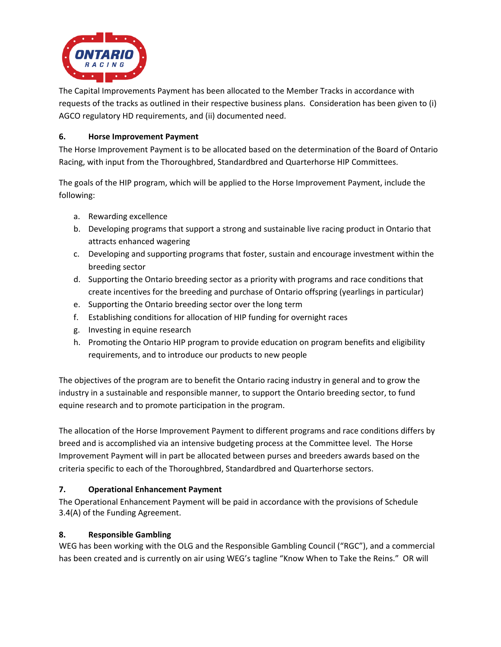

The Capital Improvements Payment has been allocated to the Member Tracks in accordance with requests of the tracks as outlined in their respective business plans. Consideration has been given to (i) AGCO regulatory HD requirements, and (ii) documented need.

## **6. Horse Improvement Payment**

The Horse Improvement Payment is to be allocated based on the determination of the Board of Ontario Racing, with input from the Thoroughbred, Standardbred and Quarterhorse HIP Committees.

The goals of the HIP program, which will be applied to the Horse Improvement Payment, include the following:

- a. Rewarding excellence
- b. Developing programs that support a strong and sustainable live racing product in Ontario that attracts enhanced wagering
- c. Developing and supporting programs that foster, sustain and encourage investment within the breeding sector
- d. Supporting the Ontario breeding sector as a priority with programs and race conditions that create incentives for the breeding and purchase of Ontario offspring (yearlings in particular)
- e. Supporting the Ontario breeding sector over the long term
- f. Establishing conditions for allocation of HIP funding for overnight races
- g. Investing in equine research
- h. Promoting the Ontario HIP program to provide education on program benefits and eligibility requirements, and to introduce our products to new people

The objectives of the program are to benefit the Ontario racing industry in general and to grow the industry in a sustainable and responsible manner, to support the Ontario breeding sector, to fund equine research and to promote participation in the program.

The allocation of the Horse Improvement Payment to different programs and race conditions differs by breed and is accomplished via an intensive budgeting process at the Committee level. The Horse Improvement Payment will in part be allocated between purses and breeders awards based on the criteria specific to each of the Thoroughbred, Standardbred and Quarterhorse sectors.

## **7. Operational Enhancement Payment**

The Operational Enhancement Payment will be paid in accordance with the provisions of Schedule 3.4(A) of the Funding Agreement.

## **8. Responsible Gambling**

WEG has been working with the OLG and the Responsible Gambling Council ("RGC"), and a commercial has been created and is currently on air using WEG's tagline "Know When to Take the Reins." OR will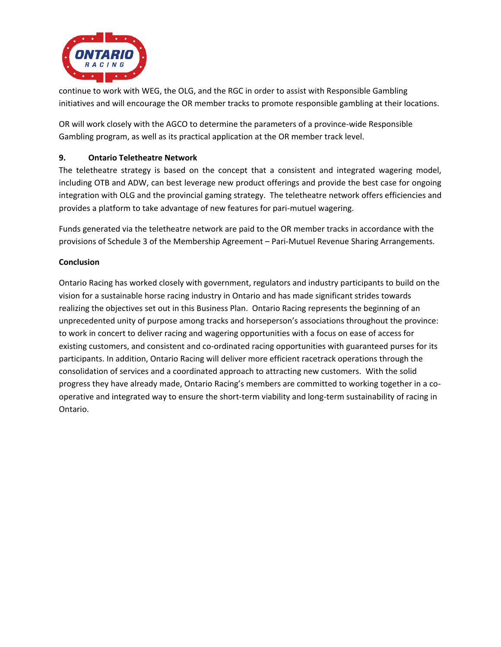

continue to work with WEG, the OLG, and the RGC in order to assist with Responsible Gambling initiatives and will encourage the OR member tracks to promote responsible gambling at their locations.

OR will work closely with the AGCO to determine the parameters of a province-wide Responsible Gambling program, as well as its practical application at the OR member track level.

# **9. Ontario Teletheatre Network**

The teletheatre strategy is based on the concept that a consistent and integrated wagering model, including OTB and ADW, can best leverage new product offerings and provide the best case for ongoing integration with OLG and the provincial gaming strategy. The teletheatre network offers efficiencies and provides a platform to take advantage of new features for pari-mutuel wagering.

Funds generated via the teletheatre network are paid to the OR member tracks in accordance with the provisions of Schedule 3 of the Membership Agreement – Pari-Mutuel Revenue Sharing Arrangements.

## **Conclusion**

Ontario Racing has worked closely with government, regulators and industry participants to build on the vision for a sustainable horse racing industry in Ontario and has made significant strides towards realizing the objectives set out in this Business Plan. Ontario Racing represents the beginning of an unprecedented unity of purpose among tracks and horseperson's associations throughout the province: to work in concert to deliver racing and wagering opportunities with a focus on ease of access for existing customers, and consistent and co-ordinated racing opportunities with guaranteed purses for its participants. In addition, Ontario Racing will deliver more efficient racetrack operations through the consolidation of services and a coordinated approach to attracting new customers. With the solid progress they have already made, Ontario Racing's members are committed to working together in a cooperative and integrated way to ensure the short-term viability and long-term sustainability of racing in Ontario.